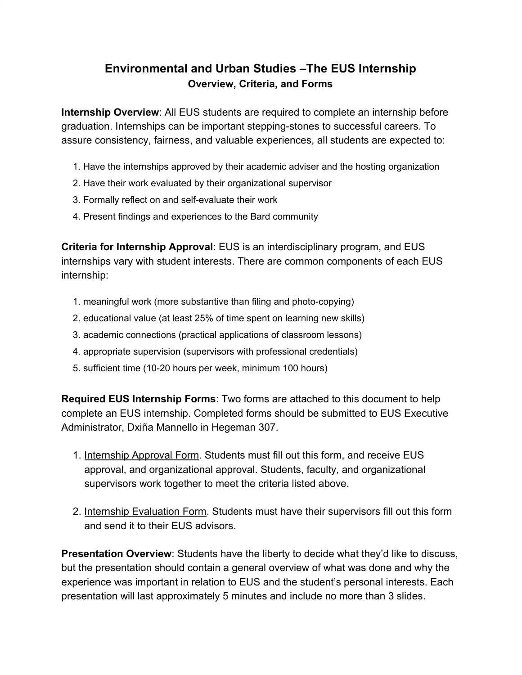# **Environmental and Urban Studies –The EUS Internship Overview, Criteria, and Forms**

**Internship Overview**: All EUS students are required to complete an internship before graduation. Internships can be important stepping-stones to successful careers. To assure consistency, fairness, and valuable experiences, all students are expected to:

- 1. Have the internships approved by their academic adviser and the hosting organization
- 2. Have their work evaluated by their organizational supervisor
- 3. Formally reflect on and self-evaluate their work
- 4. Present findings and experiences to the Bard community

**Criteria for Internship Approval**: EUS is an interdisciplinary program, and EUS internships vary with student interests. There are common components of each EUS internship:

- 1. meaningful work (more substantive than filing and photo-copying)
- 2. educational value (at least 25% of time spent on learning new skills)
- 3. academic connections (practical applications of classroom lessons)
- 4. appropriate supervision (supervisors with professional credentials)
- 5. sufficient time (10-20 hours per week, minimum 100 hours)

**Required EUS Internship Forms**: Two forms are attached to this document to help complete an EUS internship. Completed forms should be submitted to EUS Executive Administrator, Dxiña Mannello in Hegeman 307.

- 1. Internship Approval Form. Students must fill out this form, and receive EUS approval, and organizational approval. Students, faculty, and organizational supervisors work together to meet the criteria listed above.
- 2. Internship Evaluation Form. Students must have their supervisors fill out this form and send it to their EUS advisors.

**Presentation Overview**: Students have the liberty to decide what they'd like to discuss, but the presentation should contain a general overview of what was done and why the experience was important in relation to EUS and the student's personal interests. Each presentation will last approximately 5 minutes and include no more than 3 slides.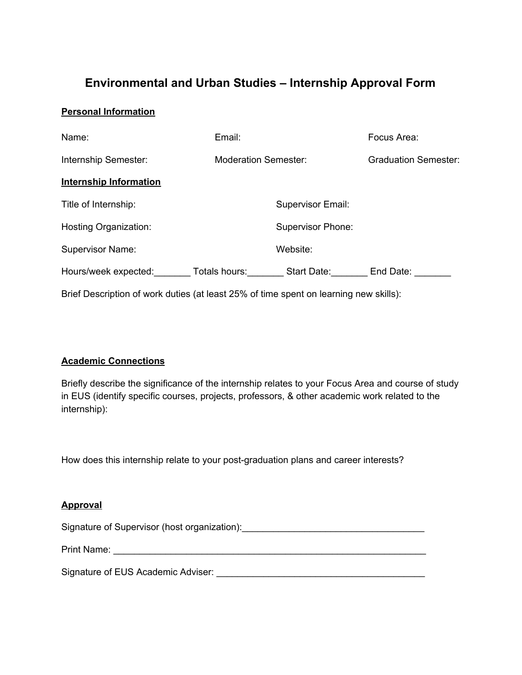## **Environmental and Urban Studies – Internship Approval Form**

### **Personal Information**

| Name:                                                                                 | Email:                      |                          | Focus Area:                 |  |  |  |
|---------------------------------------------------------------------------------------|-----------------------------|--------------------------|-----------------------------|--|--|--|
| Internship Semester:                                                                  | <b>Moderation Semester:</b> |                          | <b>Graduation Semester:</b> |  |  |  |
| <b>Internship Information</b>                                                         |                             |                          |                             |  |  |  |
| Title of Internship:                                                                  |                             | <b>Supervisor Email:</b> |                             |  |  |  |
| Hosting Organization:                                                                 |                             | <b>Supervisor Phone:</b> |                             |  |  |  |
| <b>Supervisor Name:</b>                                                               |                             | Website:                 |                             |  |  |  |
| Hours/week expected:                                                                  | Totals hours:               | Start Date:              | End Date:                   |  |  |  |
| Brief Description of work duties (at least 25% of time spent on learning new skills): |                             |                          |                             |  |  |  |

#### **Academic Connections**

Briefly describe the significance of the internship relates to your Focus Area and course of study in EUS (identify specific courses, projects, professors, & other academic work related to the internship):

How does this internship relate to your post-graduation plans and career interests?

#### **Approval**

Signature of Supervisor (host organization):\_\_\_\_\_\_\_\_\_\_\_\_\_\_\_\_\_\_\_\_\_\_\_\_\_\_\_\_\_\_\_\_\_\_\_

Print Name: \_\_\_\_\_\_\_\_\_\_\_\_\_\_\_\_\_\_\_\_\_\_\_\_\_\_\_\_\_\_\_\_\_\_\_\_\_\_\_\_\_\_\_\_\_\_\_\_\_\_\_\_\_\_\_\_\_\_\_\_

Signature of EUS Academic Adviser: \_\_\_\_\_\_\_\_\_\_\_\_\_\_\_\_\_\_\_\_\_\_\_\_\_\_\_\_\_\_\_\_\_\_\_\_\_\_\_\_